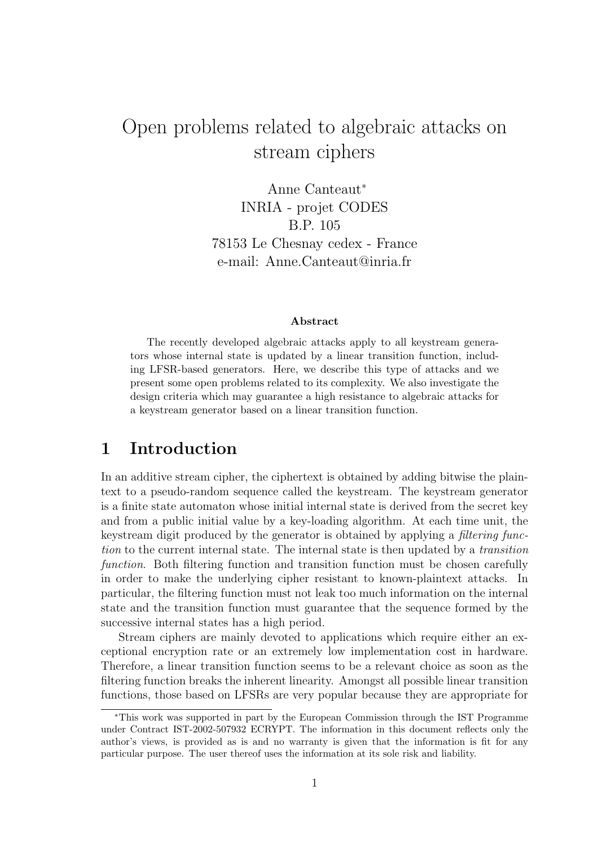# Open problems related to algebraic attacks on stream ciphers

Anne Canteaut<sup>∗</sup> INRIA - projet CODES B.P. 105 78153 Le Chesnay cedex - France e-mail: Anne.Canteaut@inria.fr

#### Abstract

The recently developed algebraic attacks apply to all keystream generators whose internal state is updated by a linear transition function, including LFSR-based generators. Here, we describe this type of attacks and we present some open problems related to its complexity. We also investigate the design criteria which may guarantee a high resistance to algebraic attacks for a keystream generator based on a linear transition function.

## 1 Introduction

In an additive stream cipher, the ciphertext is obtained by adding bitwise the plaintext to a pseudo-random sequence called the keystream. The keystream generator is a finite state automaton whose initial internal state is derived from the secret key and from a public initial value by a key-loading algorithm. At each time unit, the keystream digit produced by the generator is obtained by applying a filtering function to the current internal state. The internal state is then updated by a *transition* function. Both filtering function and transition function must be chosen carefully in order to make the underlying cipher resistant to known-plaintext attacks. In particular, the filtering function must not leak too much information on the internal state and the transition function must guarantee that the sequence formed by the successive internal states has a high period.

Stream ciphers are mainly devoted to applications which require either an exceptional encryption rate or an extremely low implementation cost in hardware. Therefore, a linear transition function seems to be a relevant choice as soon as the filtering function breaks the inherent linearity. Amongst all possible linear transition functions, those based on LFSRs are very popular because they are appropriate for

<sup>∗</sup>This work was supported in part by the European Commission through the IST Programme under Contract IST-2002-507932 ECRYPT. The information in this document reflects only the author's views, is provided as is and no warranty is given that the information is fit for any particular purpose. The user thereof uses the information at its sole risk and liability.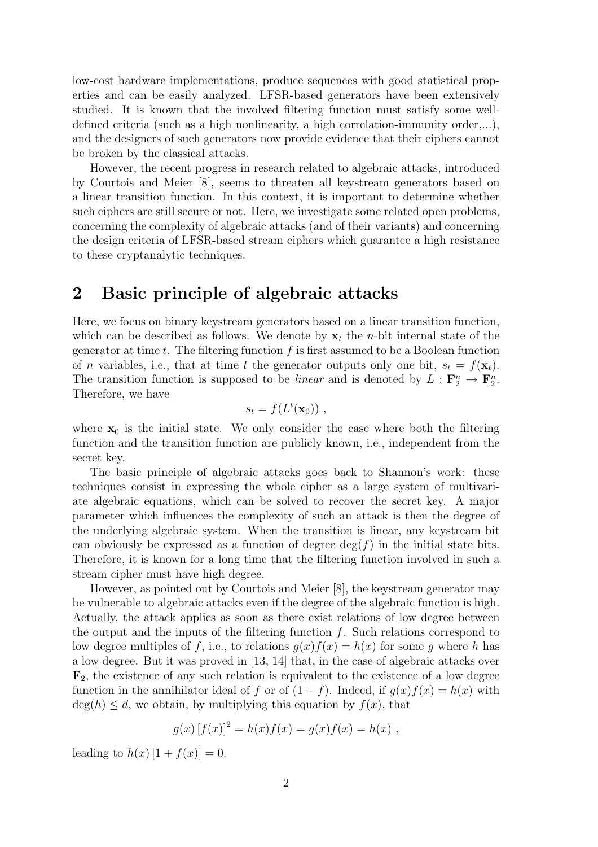low-cost hardware implementations, produce sequences with good statistical properties and can be easily analyzed. LFSR-based generators have been extensively studied. It is known that the involved filtering function must satisfy some welldefined criteria (such as a high nonlinearity, a high correlation-immunity order,...), and the designers of such generators now provide evidence that their ciphers cannot be broken by the classical attacks.

However, the recent progress in research related to algebraic attacks, introduced by Courtois and Meier [8], seems to threaten all keystream generators based on a linear transition function. In this context, it is important to determine whether such ciphers are still secure or not. Here, we investigate some related open problems, concerning the complexity of algebraic attacks (and of their variants) and concerning the design criteria of LFSR-based stream ciphers which guarantee a high resistance to these cryptanalytic techniques.

#### 2 Basic principle of algebraic attacks

Here, we focus on binary keystream generators based on a linear transition function, which can be described as follows. We denote by  $x_t$  the *n*-bit internal state of the generator at time t. The filtering function  $f$  is first assumed to be a Boolean function of *n* variables, i.e., that at time *t* the generator outputs only one bit,  $s_t = f(\mathbf{x}_t)$ . The transition function is supposed to be *linear* and is denoted by  $L : \mathbf{F}_2^n \to \mathbf{F}_2^n$ . Therefore, we have

$$
s_t = f(L^t(\mathbf{x}_0)) ,
$$

where  $x_0$  is the initial state. We only consider the case where both the filtering function and the transition function are publicly known, i.e., independent from the secret key.

The basic principle of algebraic attacks goes back to Shannon's work: these techniques consist in expressing the whole cipher as a large system of multivariate algebraic equations, which can be solved to recover the secret key. A major parameter which influences the complexity of such an attack is then the degree of the underlying algebraic system. When the transition is linear, any keystream bit can obviously be expressed as a function of degree  $deg(f)$  in the initial state bits. Therefore, it is known for a long time that the filtering function involved in such a stream cipher must have high degree.

However, as pointed out by Courtois and Meier [8], the keystream generator may be vulnerable to algebraic attacks even if the degree of the algebraic function is high. Actually, the attack applies as soon as there exist relations of low degree between the output and the inputs of the filtering function  $f$ . Such relations correspond to low degree multiples of f, i.e., to relations  $g(x)f(x) = h(x)$  for some g where h has a low degree. But it was proved in [13, 14] that, in the case of algebraic attacks over  $\mathbf{F}_2$ , the existence of any such relation is equivalent to the existence of a low degree function in the annihilator ideal of f or of  $(1 + f)$ . Indeed, if  $g(x)f(x) = h(x)$  with  $deg(h) \leq d$ , we obtain, by multiplying this equation by  $f(x)$ , that

$$
g(x) [f(x)]2 = h(x) f(x) = g(x) f(x) = h(x) ,
$$

leading to  $h(x)$   $[1 + f(x)] = 0$ .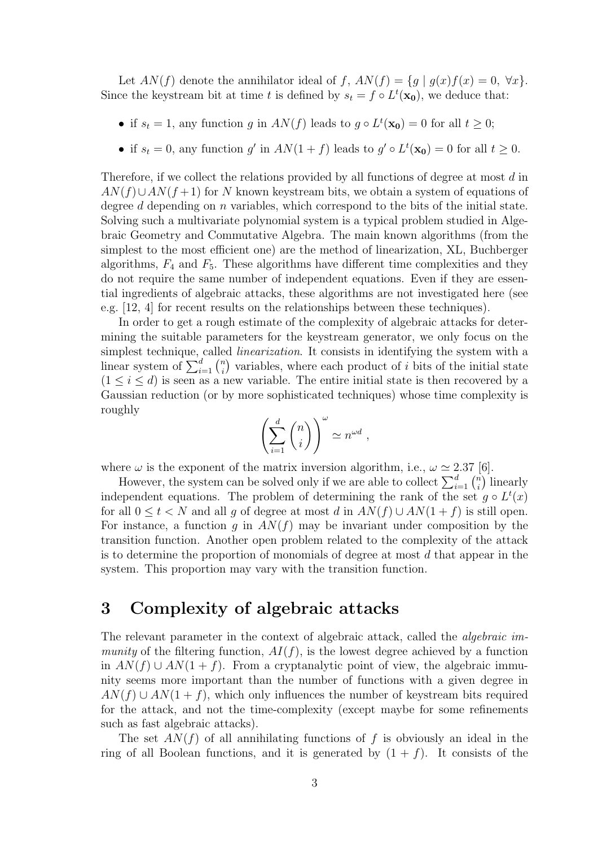Let  $AN(f)$  denote the annihilator ideal of f,  $AN(f) = \{g \mid g(x)f(x) = 0, \forall x\}.$ Since the keystream bit at time t is defined by  $s_t = f \circ L^t(\mathbf{x_0})$ , we deduce that:

- if  $s_t = 1$ , any function g in  $AN(f)$  leads to  $g \circ L^t(\mathbf{x_0}) = 0$  for all  $t \geq 0$ ;
- if  $s_t = 0$ , any function g' in  $AN(1 + f)$  leads to  $g' \circ L^t(\mathbf{x_0}) = 0$  for all  $t \geq 0$ .

Therefore, if we collect the relations provided by all functions of degree at most d in  $AN(f) \cup AN(f+1)$  for N known keystream bits, we obtain a system of equations of degree d depending on n variables, which correspond to the bits of the initial state. Solving such a multivariate polynomial system is a typical problem studied in Algebraic Geometry and Commutative Algebra. The main known algorithms (from the simplest to the most efficient one) are the method of linearization, XL, Buchberger algorithms,  $F_4$  and  $F_5$ . These algorithms have different time complexities and they do not require the same number of independent equations. Even if they are essential ingredients of algebraic attacks, these algorithms are not investigated here (see e.g. [12, 4] for recent results on the relationships between these techniques).

In order to get a rough estimate of the complexity of algebraic attacks for determining the suitable parameters for the keystream generator, we only focus on the simplest technique, called *linearization*. It consists in identifying the system with a simplest tecnomique, called<br>
linear system of  $\sum_{i=1}^{d} \binom{n}{i}$  $\binom{n}{i}$  variables, where each product of i bits of the initial state  $(1 \leq i \leq d)$  is seen as a new variable. The entire initial state is then recovered by a Gaussian reduction (or by more sophisticated techniques) whose time complexity is roughly

$$
\left(\sum_{i=1}^d \binom{n}{i}\right)^\omega \simeq n^{\omega d}
$$

,

where  $\omega$  is the exponent of the matrix inversion algorithm, i.e.,  $\omega \simeq 2.37$  [6].

Exercise  $\omega$  is the exponent of the matrix inversion algorithm, i.e.,  $\omega \simeq 2.37$  [<br>However, the system can be solved only if we are able to collect  $\sum_{i=1}^{d} {n \choose i}$  $\binom{n}{i}$  linearly independent equations. The problem of determining the rank of the set  $g \circ L^t(x)$ for all  $0 \le t \le N$  and all q of degree at most d in  $AN(f) \cup AN(1 + f)$  is still open. For instance, a function g in  $AN(f)$  may be invariant under composition by the transition function. Another open problem related to the complexity of the attack is to determine the proportion of monomials of degree at most  $d$  that appear in the system. This proportion may vary with the transition function.

#### 3 Complexity of algebraic attacks

The relevant parameter in the context of algebraic attack, called the algebraic immunity of the filtering function,  $AI(f)$ , is the lowest degree achieved by a function in  $AN(f)$  ∪  $AN(1+f)$ . From a cryptanalytic point of view, the algebraic immunity seems more important than the number of functions with a given degree in  $AN(f) \cup AN(1 + f)$ , which only influences the number of keystream bits required for the attack, and not the time-complexity (except maybe for some refinements such as fast algebraic attacks).

The set  $AN(f)$  of all annihilating functions of f is obviously an ideal in the ring of all Boolean functions, and it is generated by  $(1 + f)$ . It consists of the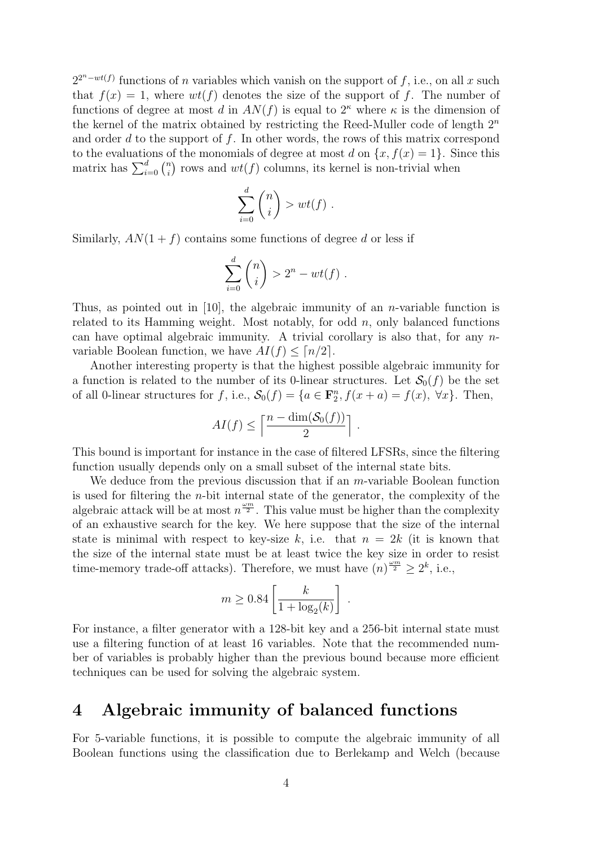$2^{2^n - wt(f)}$  functions of n variables which vanish on the support of f, i.e., on all x such that  $f(x) = 1$ , where  $wt(f)$  denotes the size of the support of f. The number of functions of degree at most d in  $AN(f)$  is equal to  $2^{\kappa}$  where  $\kappa$  is the dimension of the kernel of the matrix obtained by restricting the Reed-Muller code of length  $2^n$ and order  $d$  to the support of  $f$ . In other words, the rows of this matrix correspond to the evaluations of the monomials of degree at most d on  $\{x, f(x) = 1\}$ . Since this to the evaluations of  $\sum_{i=0}^d \binom{n}{i}$  $\binom{n}{i}$  rows and  $wt(f)$  columns, its kernel is non-trivial when

$$
\sum_{i=0}^d \binom{n}{i} > wt(f) .
$$

Similarly,  $AN(1 + f)$  contains some functions of degree d or less if

$$
\sum_{i=0}^d \binom{n}{i} > 2^n - wt(f) .
$$

Thus, as pointed out in  $[10]$ , the algebraic immunity of an *n*-variable function is related to its Hamming weight. Most notably, for odd  $n$ , only balanced functions can have optimal algebraic immunity. A trivial corollary is also that, for any  $n$ variable Boolean function, we have  $AI(f) \leq [n/2]$ .

Another interesting property is that the highest possible algebraic immunity for a function is related to the number of its 0-linear structures. Let  $S_0(f)$  be the set of all 0-linear structures for f, i.e.,  $S_0(f) = \{a \in \mathbf{F}_2^n, f(x+a) = f(x), \forall x\}$ . Then,

$$
AI(f) \leq \left\lceil \frac{n - \dim(\mathcal{S}_0(f))}{2} \right\rceil .
$$

This bound is important for instance in the case of filtered LFSRs, since the filtering function usually depends only on a small subset of the internal state bits.

We deduce from the previous discussion that if an  $m$ -variable Boolean function is used for filtering the n-bit internal state of the generator, the complexity of the algebraic attack will be at most  $n^{\frac{\omega m}{2}}$ . This value must be higher than the complexity of an exhaustive search for the key. We here suppose that the size of the internal state is minimal with respect to key-size k, i.e. that  $n = 2k$  (it is known that the size of the internal state must be at least twice the key size in order to resist time-memory trade-off attacks). Therefore, we must have  $(n)^{\frac{\omega m}{2}} \geq 2^k$ , i.e.,

$$
m \ge 0.84 \left[ \frac{k}{1 + \log_2(k)} \right] .
$$

For instance, a filter generator with a 128-bit key and a 256-bit internal state must use a filtering function of at least 16 variables. Note that the recommended number of variables is probably higher than the previous bound because more efficient techniques can be used for solving the algebraic system.

## 4 Algebraic immunity of balanced functions

For 5-variable functions, it is possible to compute the algebraic immunity of all Boolean functions using the classification due to Berlekamp and Welch (because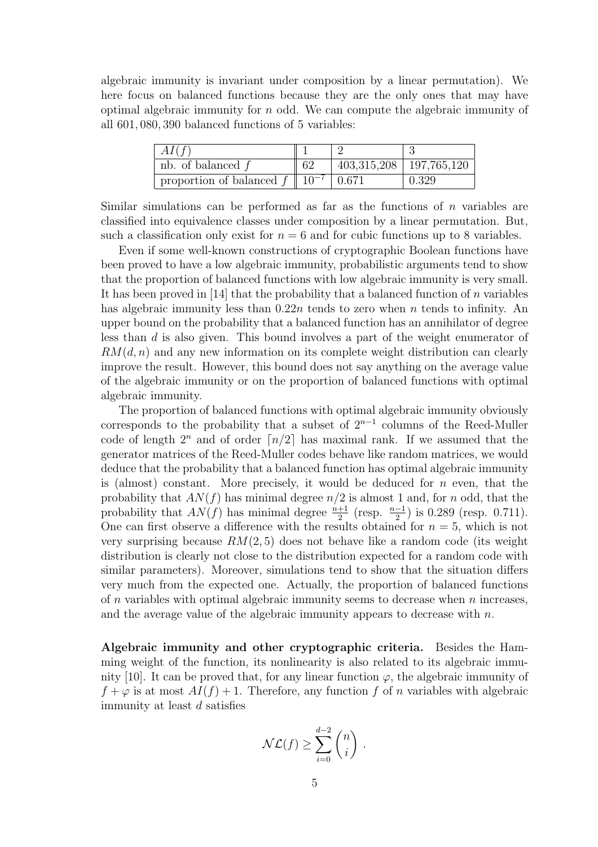algebraic immunity is invariant under composition by a linear permutation). We here focus on balanced functions because they are the only ones that may have optimal algebraic immunity for  $n$  odd. We can compute the algebraic immunity of all 601, 080, 390 balanced functions of 5 variables:

| AI(f)                    |                             |       |
|--------------------------|-----------------------------|-------|
| nb. of balanced $f$      | $403,315,208$   197,765,120 |       |
| proportion of balanced f |                             | 0.329 |

Similar simulations can be performed as far as the functions of  $n$  variables are classified into equivalence classes under composition by a linear permutation. But, such a classification only exist for  $n = 6$  and for cubic functions up to 8 variables.

Even if some well-known constructions of cryptographic Boolean functions have been proved to have a low algebraic immunity, probabilistic arguments tend to show that the proportion of balanced functions with low algebraic immunity is very small. It has been proved in [14] that the probability that a balanced function of  $n$  variables has algebraic immunity less than  $0.22n$  tends to zero when n tends to infinity. An upper bound on the probability that a balanced function has an annihilator of degree less than d is also given. This bound involves a part of the weight enumerator of  $RM(d, n)$  and any new information on its complete weight distribution can clearly improve the result. However, this bound does not say anything on the average value of the algebraic immunity or on the proportion of balanced functions with optimal algebraic immunity.

The proportion of balanced functions with optimal algebraic immunity obviously corresponds to the probability that a subset of  $2^{n-1}$  columns of the Reed-Muller code of length  $2^n$  and of order  $\lceil n/2 \rceil$  has maximal rank. If we assumed that the generator matrices of the Reed-Muller codes behave like random matrices, we would deduce that the probability that a balanced function has optimal algebraic immunity is (almost) constant. More precisely, it would be deduced for  $n$  even, that the probability that  $AN(f)$  has minimal degree  $n/2$  is almost 1 and, for n odd, that the probability that  $AN(f)$  has minimal degree  $\frac{n+1}{2}$  (resp.  $\frac{n-1}{2}$ ) is 0.289 (resp. 0.711). One can first observe a difference with the results obtained for  $n = 5$ , which is not very surprising because  $RM(2, 5)$  does not behave like a random code (its weight distribution is clearly not close to the distribution expected for a random code with similar parameters). Moreover, simulations tend to show that the situation differs very much from the expected one. Actually, the proportion of balanced functions of  $n$  variables with optimal algebraic immunity seems to decrease when  $n$  increases, and the average value of the algebraic immunity appears to decrease with  $n$ .

Algebraic immunity and other cryptographic criteria. Besides the Hamming weight of the function, its nonlinearity is also related to its algebraic immunity [10]. It can be proved that, for any linear function  $\varphi$ , the algebraic immunity of  $f + \varphi$  is at most  $AI(f) + 1$ . Therefore, any function f of n variables with algebraic immunity at least d satisfies

$$
\mathcal{NL}(f) \geq \sum_{i=0}^{d-2} \binom{n}{i} .
$$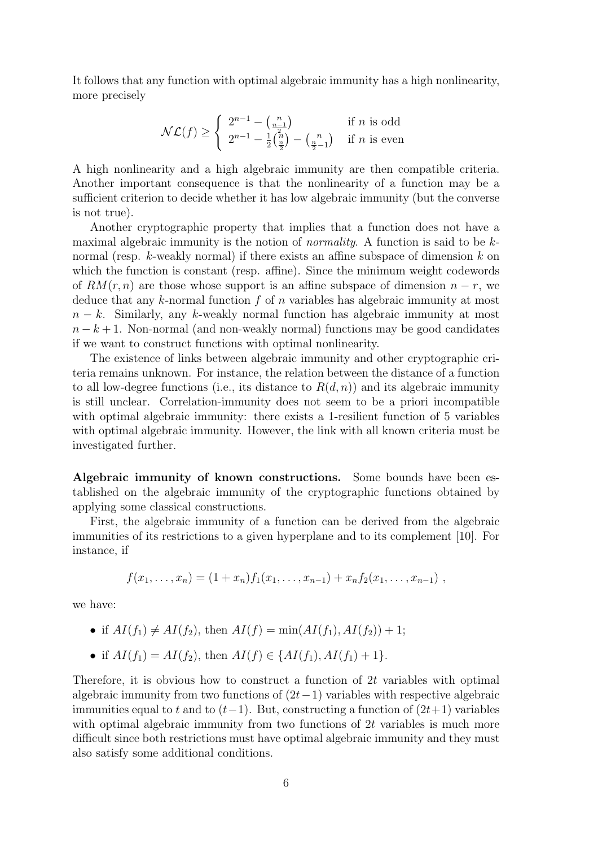It follows that any function with optimal algebraic immunity has a high nonlinearity, more precisely

$$
\mathcal{NL}(f) \ge \begin{cases} 2^{n-1} - {n \choose \frac{n-1}{2}} & \text{if } n \text{ is odd} \\ 2^{n-1} - \frac{1}{2} {n \choose \frac{n}{2}} - {n \choose \frac{n}{2}-1} & \text{if } n \text{ is even} \end{cases}
$$

A high nonlinearity and a high algebraic immunity are then compatible criteria. Another important consequence is that the nonlinearity of a function may be a sufficient criterion to decide whether it has low algebraic immunity (but the converse is not true).

Another cryptographic property that implies that a function does not have a maximal algebraic immunity is the notion of *normality*. A function is said to be  $k$ normal (resp. k-weakly normal) if there exists an affine subspace of dimension  $k$  on which the function is constant (resp. affine). Since the minimum weight codewords of  $RM(r, n)$  are those whose support is an affine subspace of dimension  $n - r$ , we deduce that any k-normal function f of n variables has algebraic immunity at most  $n - k$ . Similarly, any k-weakly normal function has algebraic immunity at most  $n - k + 1$ . Non-normal (and non-weakly normal) functions may be good candidates if we want to construct functions with optimal nonlinearity.

The existence of links between algebraic immunity and other cryptographic criteria remains unknown. For instance, the relation between the distance of a function to all low-degree functions (i.e., its distance to  $R(d, n)$ ) and its algebraic immunity is still unclear. Correlation-immunity does not seem to be a priori incompatible with optimal algebraic immunity: there exists a 1-resilient function of 5 variables with optimal algebraic immunity. However, the link with all known criteria must be investigated further.

Algebraic immunity of known constructions. Some bounds have been established on the algebraic immunity of the cryptographic functions obtained by applying some classical constructions.

First, the algebraic immunity of a function can be derived from the algebraic immunities of its restrictions to a given hyperplane and to its complement [10]. For instance, if

$$
f(x_1,...,x_n)=(1+x_n)f_1(x_1,...,x_{n-1})+x_nf_2(x_1,...,x_{n-1}),
$$

we have:

- if  $AI(f_1) \neq AI(f_2)$ , then  $AI(f) = \min(AI(f_1), AI(f_2)) + 1;$
- if  $AI(f_1) = AI(f_2)$ , then  $AI(f) \in \{AI(f_1), AI(f_1) + 1\}.$

Therefore, it is obvious how to construct a function of  $2t$  variables with optimal algebraic immunity from two functions of  $(2t-1)$  variables with respective algebraic immunities equal to t and to  $(t-1)$ . But, constructing a function of  $(2t+1)$  variables with optimal algebraic immunity from two functions of 2t variables is much more difficult since both restrictions must have optimal algebraic immunity and they must also satisfy some additional conditions.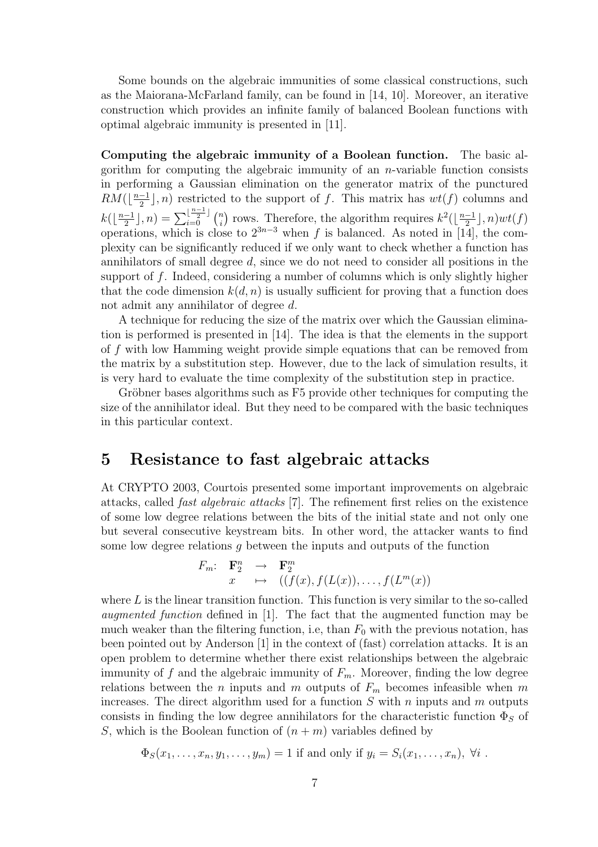Some bounds on the algebraic immunities of some classical constructions, such as the Maiorana-McFarland family, can be found in [14, 10]. Moreover, an iterative construction which provides an infinite family of balanced Boolean functions with optimal algebraic immunity is presented in [11].

Computing the algebraic immunity of a Boolean function. The basic algorithm for computing the algebraic immunity of an n-variable function consists in performing a Gaussian elimination on the generator matrix of the punctured  $RM(|\frac{n-1}{2})$  $\frac{-1}{2}$ , n) restricted to the support of f. This matrix has  $wt(f)$  columns and  $k(\frac{n-1}{2})$  $\frac{-1}{2}$ ],  $n$ ) =  $\sum_{i=0}^{\lfloor \frac{n-1}{2} \rfloor}$   $\binom{n}{i}$ i ¢ rows. Therefore, the algorithm requires  $k^2(\frac{n-1}{2})$  $\frac{-1}{2}$ , n)wt $(f)$ operations, which is close to  $2^{3n-3}$  when f is balanced. As noted in [14], the complexity can be significantly reduced if we only want to check whether a function has annihilators of small degree  $d$ , since we do not need to consider all positions in the support of f. Indeed, considering a number of columns which is only slightly higher that the code dimension  $k(d, n)$  is usually sufficient for proving that a function does not admit any annihilator of degree d.

A technique for reducing the size of the matrix over which the Gaussian elimination is performed is presented in [14]. The idea is that the elements in the support of f with low Hamming weight provide simple equations that can be removed from the matrix by a substitution step. However, due to the lack of simulation results, it is very hard to evaluate the time complexity of the substitution step in practice.

Gröbner bases algorithms such as F5 provide other techniques for computing the size of the annihilator ideal. But they need to be compared with the basic techniques in this particular context.

#### 5 Resistance to fast algebraic attacks

At CRYPTO 2003, Courtois presented some important improvements on algebraic attacks, called fast algebraic attacks [7]. The refinement first relies on the existence of some low degree relations between the bits of the initial state and not only one but several consecutive keystream bits. In other word, the attacker wants to find some low degree relations  $g$  between the inputs and outputs of the function

$$
F_m: \quad \mathbf{F}_2^n \quad \to \quad \mathbf{F}_2^m
$$

$$
x \quad \mapsto \quad ((f(x), f(L(x)), \dots, f(L^m(x)))
$$

where  $L$  is the linear transition function. This function is very similar to the so-called augmented function defined in [1]. The fact that the augmented function may be much weaker than the filtering function, i.e, than  $F_0$  with the previous notation, has been pointed out by Anderson [1] in the context of (fast) correlation attacks. It is an open problem to determine whether there exist relationships between the algebraic immunity of f and the algebraic immunity of  $F_m$ . Moreover, finding the low degree relations between the *n* inputs and *m* outputs of  $F_m$  becomes infeasible when *m* increases. The direct algorithm used for a function  $S$  with  $n$  inputs and  $m$  outputs consists in finding the low degree annihilators for the characteristic function  $\Phi_S$  of S, which is the Boolean function of  $(n + m)$  variables defined by

$$
\Phi_S(x_1,\ldots,x_n,y_1,\ldots,y_m)=1
$$
 if and only if  $y_i=S_i(x_1,\ldots,x_n)$ ,  $\forall i$ .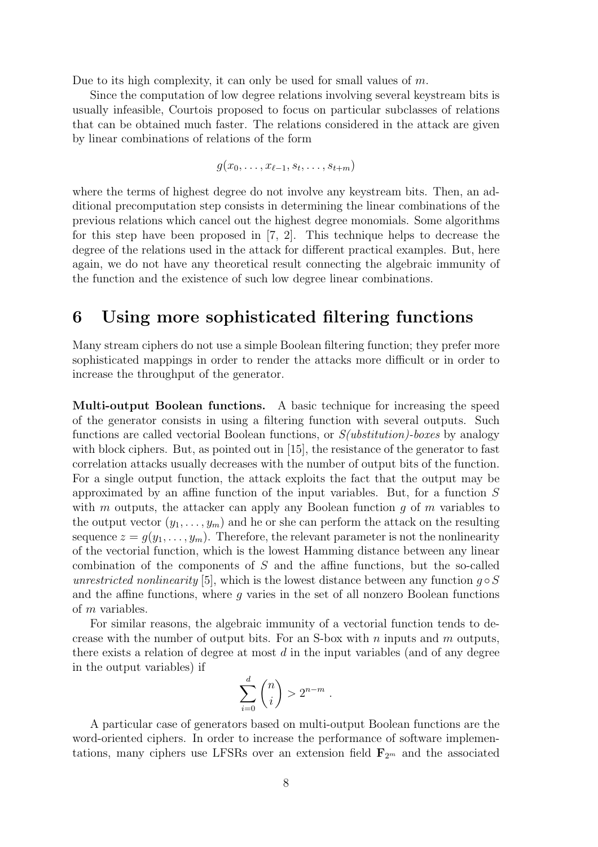Due to its high complexity, it can only be used for small values of  $m$ .

Since the computation of low degree relations involving several keystream bits is usually infeasible, Courtois proposed to focus on particular subclasses of relations that can be obtained much faster. The relations considered in the attack are given by linear combinations of relations of the form

$$
g(x_0,\ldots,x_{\ell-1},s_t,\ldots,s_{t+m})
$$

where the terms of highest degree do not involve any keystream bits. Then, an additional precomputation step consists in determining the linear combinations of the previous relations which cancel out the highest degree monomials. Some algorithms for this step have been proposed in [7, 2]. This technique helps to decrease the degree of the relations used in the attack for different practical examples. But, here again, we do not have any theoretical result connecting the algebraic immunity of the function and the existence of such low degree linear combinations.

#### 6 Using more sophisticated filtering functions

Many stream ciphers do not use a simple Boolean filtering function; they prefer more sophisticated mappings in order to render the attacks more difficult or in order to increase the throughput of the generator.

Multi-output Boolean functions. A basic technique for increasing the speed of the generator consists in using a filtering function with several outputs. Such functions are called vectorial Boolean functions, or  $S(ubstitution)$ -boxes by analogy with block ciphers. But, as pointed out in [15], the resistance of the generator to fast correlation attacks usually decreases with the number of output bits of the function. For a single output function, the attack exploits the fact that the output may be approximated by an affine function of the input variables. But, for a function S with m outputs, the attacker can apply any Boolean function g of m variables to the output vector  $(y_1, \ldots, y_m)$  and he or she can perform the attack on the resulting sequence  $z = g(y_1, \ldots, y_m)$ . Therefore, the relevant parameter is not the nonlinearity of the vectorial function, which is the lowest Hamming distance between any linear combination of the components of S and the affine functions, but the so-called unrestricted nonlinearity [5], which is the lowest distance between any function  $q \circ S$ and the affine functions, where  $g$  varies in the set of all nonzero Boolean functions of m variables.

For similar reasons, the algebraic immunity of a vectorial function tends to decrease with the number of output bits. For an S-box with n inputs and  $m$  outputs, there exists a relation of degree at most  $d$  in the input variables (and of any degree in the output variables) if

$$
\sum_{i=0}^d \binom{n}{i} > 2^{n-m} .
$$

A particular case of generators based on multi-output Boolean functions are the word-oriented ciphers. In order to increase the performance of software implementations, many ciphers use LFSRs over an extension field  $\mathbf{F}_{2^m}$  and the associated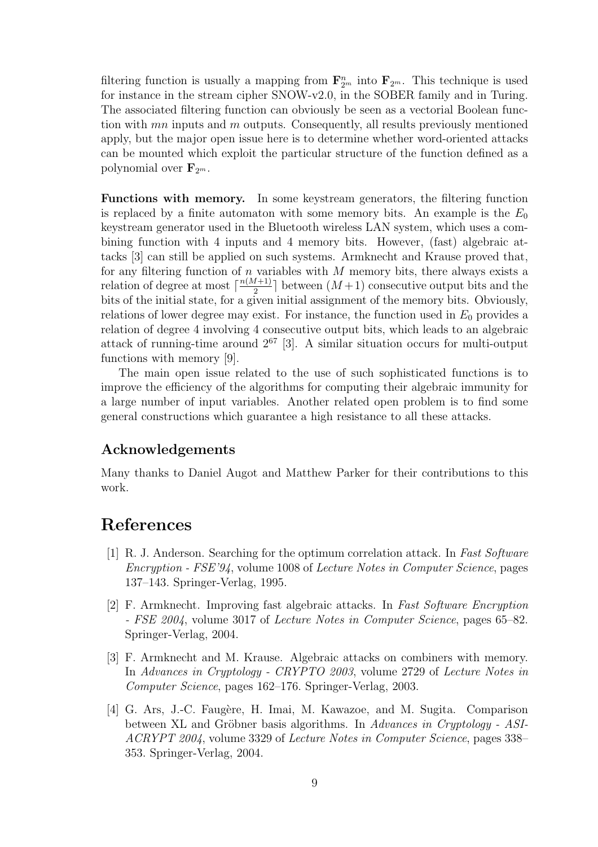filtering function is usually a mapping from  $\mathbf{F}_{2^m}^n$  into  $\mathbf{F}_{2^m}$ . This technique is used for instance in the stream cipher SNOW-v2.0, in the SOBER family and in Turing. The associated filtering function can obviously be seen as a vectorial Boolean function with  $mn$  inputs and  $m$  outputs. Consequently, all results previously mentioned apply, but the major open issue here is to determine whether word-oriented attacks can be mounted which exploit the particular structure of the function defined as a polynomial over  $\mathbf{F}_{2^m}$ .

Functions with memory. In some keystream generators, the filtering function is replaced by a finite automaton with some memory bits. An example is the  $E_0$ keystream generator used in the Bluetooth wireless LAN system, which uses a combining function with 4 inputs and 4 memory bits. However, (fast) algebraic attacks [3] can still be applied on such systems. Armknecht and Krause proved that, for any filtering function of  $n$  variables with  $M$  memory bits, there always exists a relation of degree at most  $\lceil \frac{n(M+1)}{2} \rceil$  $\frac{1}{2}$  between  $(M+1)$  consecutive output bits and the bits of the initial state, for a given initial assignment of the memory bits. Obviously, relations of lower degree may exist. For instance, the function used in  $E_0$  provides a relation of degree 4 involving 4 consecutive output bits, which leads to an algebraic attack of running-time around  $2^{67}$  [3]. A similar situation occurs for multi-output functions with memory [9].

The main open issue related to the use of such sophisticated functions is to improve the efficiency of the algorithms for computing their algebraic immunity for a large number of input variables. Another related open problem is to find some general constructions which guarantee a high resistance to all these attacks.

#### Acknowledgements

Many thanks to Daniel Augot and Matthew Parker for their contributions to this work.

## References

- [1] R. J. Anderson. Searching for the optimum correlation attack. In Fast Software Encryption - FSE'94, volume 1008 of Lecture Notes in Computer Science, pages 137–143. Springer-Verlag, 1995.
- [2] F. Armknecht. Improving fast algebraic attacks. In Fast Software Encryption - FSE 2004, volume 3017 of Lecture Notes in Computer Science, pages 65–82. Springer-Verlag, 2004.
- [3] F. Armknecht and M. Krause. Algebraic attacks on combiners with memory. In Advances in Cryptology - CRYPTO 2003, volume 2729 of Lecture Notes in Computer Science, pages 162–176. Springer-Verlag, 2003.
- [4] G. Ars, J.-C. Faugère, H. Imai, M. Kawazoe, and M. Sugita. Comparison between XL and Gröbner basis algorithms. In Advances in Cryptology - ASI-ACRYPT 2004, volume 3329 of Lecture Notes in Computer Science, pages 338– 353. Springer-Verlag, 2004.